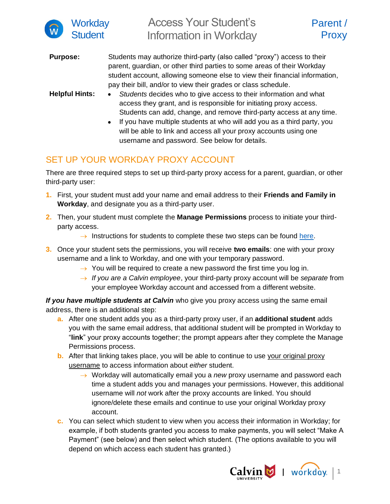

**Purpose:** Students may authorize third-party (also called "proxy") access to their parent, guardian, or other third parties to some areas of their Workday student account, allowing someone else to view their financial information, pay their bill, and/or to view their grades or class schedule.

- **Helpful Hints:** *Students* decides who to give access to their information and what access they grant, and is responsible for initiating proxy access. Students can add, change, and remove third-party access at any time.
	- If you have multiple students at who will add you as a third party, you will be able to link and access all your proxy accounts using one username and password. See below for details.

## SET UP YOUR WORKDAY PROXY ACCOUNT

There are three required steps to set up third-party proxy access for a parent, guardian, or other third-party user:

- **1.** First, your student must add your name and email address to their **Friends and Family in Workday**, and designate you as a third-party user.
- **2.** Then, your student must complete the **Manage Permissions** process to initiate your thirdparty access.
	- $\rightarrow$  Instructions for students to complete these two steps can be found [here.](https://calvin.edu/offices-services/information-technology/workday/manage-third-party-proxy-access.pdf)
- **3.** Once your student sets the permissions, you will receive **two emails**: one with your proxy username and a link to Workday, and one with your temporary password.
	- $\rightarrow$  You will be required to create a new password the first time you log in.
	- → *If you are a Calvin employee*, your third-party proxy account will be *separate* from your employee Workday account and accessed from a different website.

*If you have multiple students at Calvin* who give you proxy access using the same email address, there is an additional step:

- **a.** After one student adds you as a third-party proxy user, if an **additional student** adds you with the same email address, that additional student will be prompted in Workday to "**link**" your proxy accounts together; the prompt appears after they complete the Manage Permissions process.
- **b.** After that linking takes place, you will be able to continue to use your original proxy username to access information about *either* student.
	- → Workday will automatically email you a *new* proxy username and password each time a student adds you and manages your permissions. However, this additional username will *not* work after the proxy accounts are linked. You should ignore/delete these emails and continue to use your original Workday proxy account.
- **c.** You can select which student to view when you access their information in Workday; for example, if both students granted you access to make payments, you will select "Make A Payment" (see below) and then select which student. (The options available to you will depend on which access each student has granted.)